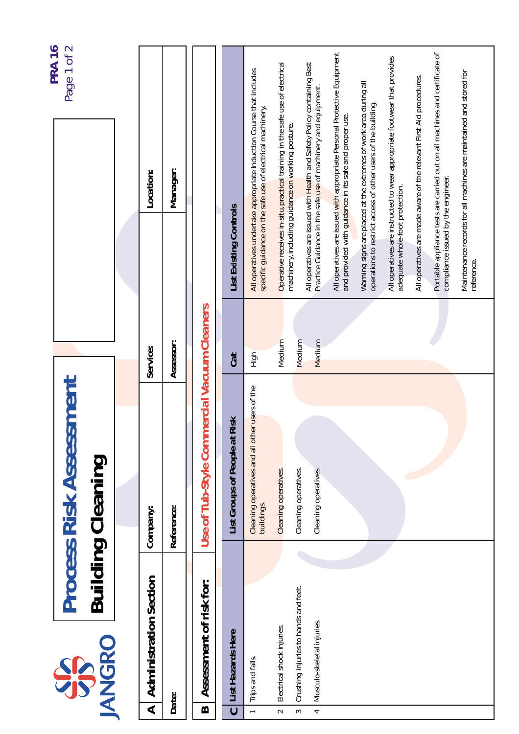|                          | SS                                                                 | <b>Process Risk Assessment</b>                               |                  |                                                                                                                                          | <b>PRA 16</b><br>Page 1 of 2 |
|--------------------------|--------------------------------------------------------------------|--------------------------------------------------------------|------------------|------------------------------------------------------------------------------------------------------------------------------------------|------------------------------|
|                          | <b>JANGRO</b>                                                      | <b>Building Cleaning</b>                                     |                  |                                                                                                                                          |                              |
|                          |                                                                    |                                                              |                  |                                                                                                                                          |                              |
| $\blacktriangleleft$     | <b>Administration Section</b>                                      | Company:                                                     | Service:         | Location:                                                                                                                                |                              |
|                          | Date:                                                              | Reference:                                                   | Assessor:        | Manager:                                                                                                                                 |                              |
| $\bf{a}$                 | Assessment of risk for:                                            | Use of Tub-Style Commercial Vacuum Cleaners                  |                  |                                                                                                                                          |                              |
| $\mathbf C$              | List Hazards Here                                                  | Risk<br>List Groups of People at                             | Cat              | List Existing Controls                                                                                                                   |                              |
| $\overline{\phantom{0}}$ | Trips and falls.                                                   | Cleaning operatives and all other users of the<br>buildings. | High             | All operatives undertake appropriate Induction Course that includes<br>specific guidance on the safe use of electrical machinery.        |                              |
| $\sim$                   | Electrical shock injuries.                                         | Cleaning operatives.                                         | Medium           | Operative receives in-situ, practical training in the safe use of electrical<br>machinery, including guidance on working posture.        |                              |
| 4<br>3                   | Crushing injuries to hands and feet.<br>Musculo-skeletal injuries. | Cleaning operatives.<br>Cleaning operatives.                 | Medium<br>Medium | All operatives are issued with Health and Safety Policy containing Best<br>Practice Guidance in the safe use of machinery and equipment. |                              |
|                          |                                                                    |                                                              |                  | All operatives are issued with appropriate Personal Protective Equipment<br>and provided with guidance in its safe and proper use.       |                              |
|                          |                                                                    |                                                              |                  | Warning signs are placed at the extremes of work area during all<br>operations to restrict access of other users of the building.        |                              |
|                          |                                                                    |                                                              |                  | All operatives are instructed to wear appropriate footwear that provides<br>adequate whole-foot protection.                              |                              |
|                          |                                                                    |                                                              |                  | All operatives are made aware of the relevant First Aid procedures.                                                                      |                              |
|                          |                                                                    |                                                              |                  | Portable appliance tests are carried out on all machines and certificate of<br>compliance issued by the engineer.                        |                              |
|                          |                                                                    |                                                              |                  | Maintenance records for all machines are maintained and stored for<br>reference.                                                         |                              |
|                          |                                                                    |                                                              |                  |                                                                                                                                          |                              |